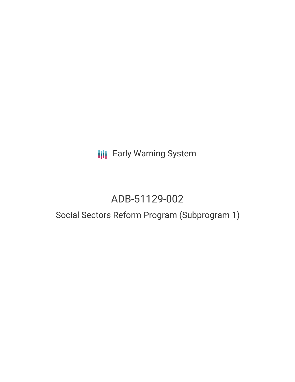**III** Early Warning System

## ADB-51129-002

## Social Sectors Reform Program (Subprogram 1)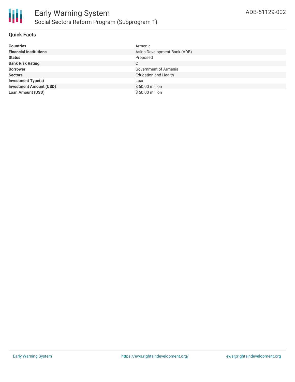

#### **Quick Facts**

| <b>Countries</b>               | Armenia                      |
|--------------------------------|------------------------------|
| <b>Financial Institutions</b>  | Asian Development Bank (ADB) |
| <b>Status</b>                  | Proposed                     |
| <b>Bank Risk Rating</b>        | C                            |
| <b>Borrower</b>                | Government of Armenia        |
| <b>Sectors</b>                 | <b>Education and Health</b>  |
| <b>Investment Type(s)</b>      | Loan                         |
| <b>Investment Amount (USD)</b> | \$50.00 million              |
| Loan Amount (USD)              | \$50.00 million              |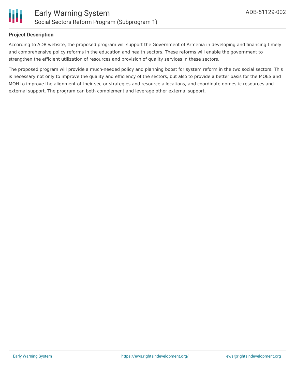

#### **Project Description**

According to ADB website, the proposed program will support the Government of Armenia in developing and financing timely and comprehensive policy reforms in the education and health sectors. These reforms will enable the government to strengthen the efficient utilization of resources and provision of quality services in these sectors.

The proposed program will provide a much-needed policy and planning boost for system reform in the two social sectors. This is necessary not only to improve the quality and efficiency of the sectors, but also to provide a better basis for the MOES and MOH to improve the alignment of their sector strategies and resource allocations, and coordinate domestic resources and external support. The program can both complement and leverage other external support.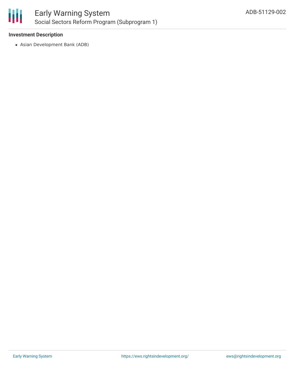

#### **Investment Description**

Asian Development Bank (ADB)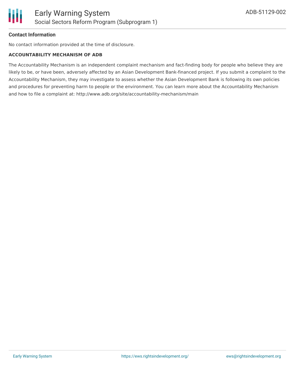

#### **Contact Information**

No contact information provided at the time of disclosure.

#### **ACCOUNTABILITY MECHANISM OF ADB**

The Accountability Mechanism is an independent complaint mechanism and fact-finding body for people who believe they are likely to be, or have been, adversely affected by an Asian Development Bank-financed project. If you submit a complaint to the Accountability Mechanism, they may investigate to assess whether the Asian Development Bank is following its own policies and procedures for preventing harm to people or the environment. You can learn more about the Accountability Mechanism and how to file a complaint at: http://www.adb.org/site/accountability-mechanism/main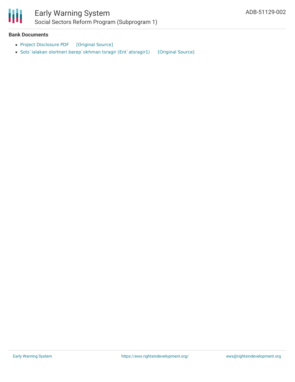

# Ш

### Early Warning System Social Sectors Reform Program (Subprogram 1)

#### **Bank Documents**

- Project [Disclosure](https://ewsdata.rightsindevelopment.org/files/documents/02/ADB-51129-002.pdf) PDF [\[Original](https://www.adb.org/printpdf/projects/51129-002/main) Source]
- Sots`ialakan olortneri [barep`okhman](https://ewsdata.rightsindevelopment.org/files/documents/02/ADB-51129-002_1ZUrQm7.pdf) tsragir (Ent`atsragir1) [\[Original](https://www.adb.org/hy/projects/documents/51129-002-project-data-sheet) Source]